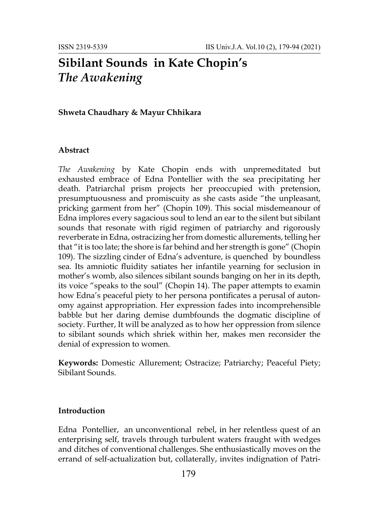# **Sibilant Sounds in Kate Chopin's**  *The Awakening*

### **Shweta Chaudhary & Mayur Chhikara**

#### **Abstract**

*The Awakening* by Kate Chopin ends with unpremeditated but exhausted embrace of Edna Pontellier with the sea precipitating her death. Patriarchal prism projects her preoccupied with pretension, presumptuousness and promiscuity as she casts aside "the unpleasant, pricking garment from her" (Chopin 109). This social misdemeanour of Edna implores every sagacious soul to lend an ear to the silent but sibilant sounds that resonate with rigid regimen of patriarchy and rigorously reverberate in Edna, ostracizing her from domestic allurements, telling her that "it is too late; the shore is far behind and her strength is gone" (Chopin 109). The sizzling cinder of Edna's adventure, is quenched by boundless sea. Its amniotic fluidity satiates her infantile yearning for seclusion in mother's womb, also silences sibilant sounds banging on her in its depth, its voice "speaks to the soul" (Chopin 14). The paper attempts to examin how Edna's peaceful piety to her persona pontificates a perusal of autonomy against appropriation. Her expression fades into incomprehensible babble but her daring demise dumbfounds the dogmatic discipline of society. Further, It will be analyzed as to how her oppression from silence to sibilant sounds which shriek within her, makes men reconsider the denial of expression to women.

**Keywords:** Domestic Allurement; Ostracize; Patriarchy; Peaceful Piety; Sibilant Sounds.

## **Introduction**

Edna Pontellier, an unconventional rebel, in her relentless quest of an enterprising self, travels through turbulent waters fraught with wedges and ditches of conventional challenges. She enthusiastically moves on the errand of self-actualization but, collaterally, invites indignation of Patri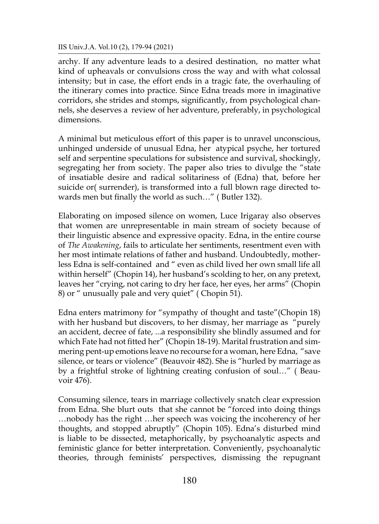archy. If any adventure leads to a desired destination, no matter what kind of upheavals or convulsions cross the way and with what colossal intensity; but in case, the effort ends in a tragic fate, the overhauling of the itinerary comes into practice. Since Edna treads more in imaginative corridors, she strides and stomps, significantly, from psychological channels, she deserves a review of her adventure, preferably, in psychological dimensions.

A minimal but meticulous effort of this paper is to unravel unconscious, unhinged underside of unusual Edna, her atypical psyche, her tortured self and serpentine speculations for subsistence and survival, shockingly, segregating her from society. The paper also tries to divulge the "state of insatiable desire and radical solitariness of (Edna) that, before her suicide or( surrender), is transformed into a full blown rage directed towards men but finally the world as such…" ( Butler 132).

Elaborating on imposed silence on women, Luce Irigaray also observes that women are unrepresentable in main stream of society because of their linguistic absence and expressive opacity. Edna, in the entire course of *The Awakening*, fails to articulate her sentiments, resentment even with her most intimate relations of father and husband. Undoubtedly, motherless Edna is self-contained and " even as child lived her own small life all within herself" (Chopin 14), her husband's scolding to her, on any pretext, leaves her "crying, not caring to dry her face, her eyes, her arms" (Chopin 8) or " unusually pale and very quiet" ( Chopin 51).

Edna enters matrimony for "sympathy of thought and taste"(Chopin 18) with her husband but discovers, to her dismay, her marriage as "purely an accident, decree of fate, ...a responsibility she blindly assumed and for which Fate had not fitted her" (Chopin 18-19). Marital frustration and simmering pent-up emotions leave no recourse for a woman, here Edna, "save silence, or tears or violence" (Beauvoir 482). She is "hurled by marriage as by a frightful stroke of lightning creating confusion of soul…" ( Beauvoir 476).

Consuming silence, tears in marriage collectively snatch clear expression from Edna. She blurt outs that she cannot be "forced into doing things …nobody has the right …her speech was voicing the incoherency of her thoughts, and stopped abruptly" (Chopin 105). Edna's disturbed mind is liable to be dissected, metaphorically, by psychoanalytic aspects and feministic glance for better interpretation. Conveniently, psychoanalytic theories, through feminists' perspectives, dismissing the repugnant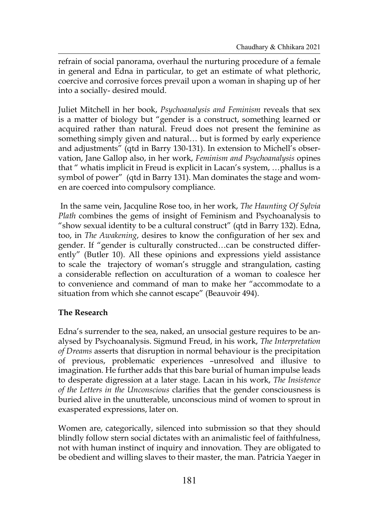refrain of social panorama, overhaul the nurturing procedure of a female in general and Edna in particular, to get an estimate of what plethoric, coercive and corrosive forces prevail upon a woman in shaping up of her into a socially- desired mould.

Juliet Mitchell in her book, *Psychoanalysis and Feminism* reveals that sex is a matter of biology but "gender is a construct, something learned or acquired rather than natural. Freud does not present the feminine as something simply given and natural… but is formed by early experience and adjustments" (qtd in Barry 130-131). In extension to Michell's observation, Jane Gallop also, in her work, *Feminism and Psychoanalysis* opines that " whatis implicit in Freud is explicit in Lacan's system, …phallus is a symbol of power" (qtd in Barry 131). Man dominates the stage and women are coerced into compulsory compliance.

In the same vein, Jacquline Rose too, in her work, *The Haunting Of Sylvia Plath* combines the gems of insight of Feminism and Psychoanalysis to "show sexual identity to be a cultural construct" (qtd in Barry 132). Edna, too, in *The Awakening*, desires to know the configuration of her sex and gender. If "gender is culturally constructed…can be constructed differently" (Butler 10). All these opinions and expressions yield assistance to scale the trajectory of woman's struggle and strangulation, casting a considerable reflection on acculturation of a woman to coalesce her to convenience and command of man to make her "accommodate to a situation from which she cannot escape" (Beauvoir 494).

# **The Research**

Edna's surrender to the sea, naked, an unsocial gesture requires to be analysed by Psychoanalysis. Sigmund Freud, in his work, *The Interpretation of Dreams* asserts that disruption in normal behaviour is the precipitation of previous, problematic experiences –unresolved and illusive to imagination. He further adds that this bare burial of human impulse leads to desperate digression at a later stage. Lacan in his work, *The Insistence of the Letters in the Unconscious* clarifies that the gender consciousness is buried alive in the unutterable, unconscious mind of women to sprout in exasperated expressions, later on.

Women are, categorically, silenced into submission so that they should blindly follow stern social dictates with an animalistic feel of faithfulness, not with human instinct of inquiry and innovation. They are obligated to be obedient and willing slaves to their master, the man. Patricia Yaeger in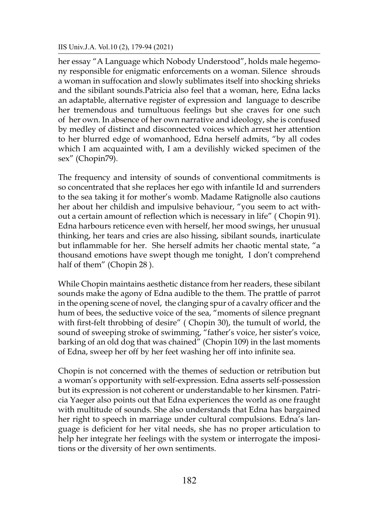her essay "A Language which Nobody Understood", holds male hegemony responsible for enigmatic enforcements on a woman. Silence shrouds a woman in suffocation and slowly sublimates itself into shocking shrieks and the sibilant sounds.Patricia also feel that a woman, here, Edna lacks an adaptable, alternative register of expression and language to describe her tremendous and tumultuous feelings but she craves for one such of her own. In absence of her own narrative and ideology, she is confused by medley of distinct and disconnected voices which arrest her attention to her blurred edge of womanhood, Edna herself admits, "by all codes which I am acquainted with, I am a devilishly wicked specimen of the sex" (Chopin79).

The frequency and intensity of sounds of conventional commitments is so concentrated that she replaces her ego with infantile Id and surrenders to the sea taking it for mother's womb. Madame Ratignolle also cautions her about her childish and impulsive behaviour, "you seem to act without a certain amount of reflection which is necessary in life" ( Chopin 91). Edna harbours reticence even with herself, her mood swings, her unusual thinking, her tears and cries are also hissing, sibilant sounds, inarticulate but inflammable for her. She herself admits her chaotic mental state, "a thousand emotions have swept though me tonight, I don't comprehend half of them" (Chopin 28 ).

While Chopin maintains aesthetic distance from her readers, these sibilant sounds make the agony of Edna audible to the them. The prattle of parrot in the opening scene of novel, the clanging spur of a cavalry officer and the hum of bees, the seductive voice of the sea, "moments of silence pregnant with first-felt throbbing of desire" (Chopin 30), the tumult of world, the sound of sweeping stroke of swimming, "father's voice, her sister's voice, barking of an old dog that was chained" (Chopin 109) in the last moments of Edna, sweep her off by her feet washing her off into infinite sea.

Chopin is not concerned with the themes of seduction or retribution but a woman's opportunity with self-expression. Edna asserts self-possession but its expression is not coherent or understandable to her kinsmen. Patricia Yaeger also points out that Edna experiences the world as one fraught with multitude of sounds. She also understands that Edna has bargained her right to speech in marriage under cultural compulsions. Edna's language is deficient for her vital needs, she has no proper articulation to help her integrate her feelings with the system or interrogate the impositions or the diversity of her own sentiments.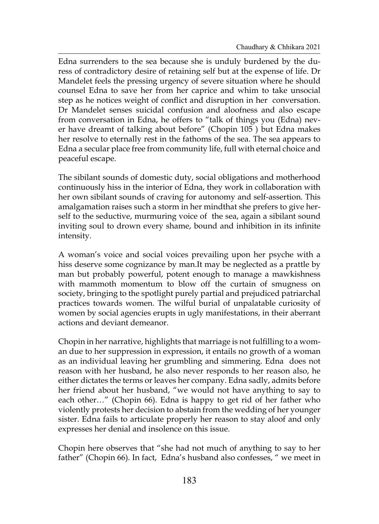Edna surrenders to the sea because she is unduly burdened by the duress of contradictory desire of retaining self but at the expense of life. Dr Mandelet feels the pressing urgency of severe situation where he should counsel Edna to save her from her caprice and whim to take unsocial step as he notices weight of conflict and disruption in her conversation. Dr Mandelet senses suicidal confusion and aloofness and also escape from conversation in Edna, he offers to "talk of things you (Edna) never have dreamt of talking about before" (Chopin 105 ) but Edna makes her resolve to eternally rest in the fathoms of the sea. The sea appears to Edna a secular place free from community life, full with eternal choice and peaceful escape.

The sibilant sounds of domestic duty, social obligations and motherhood continuously hiss in the interior of Edna, they work in collaboration with her own sibilant sounds of craving for autonomy and self-assertion. This amalgamation raises such a storm in her mindthat she prefers to give herself to the seductive, murmuring voice of the sea, again a sibilant sound inviting soul to drown every shame, bound and inhibition in its infinite intensity.

A woman's voice and social voices prevailing upon her psyche with a hiss deserve some cognizance by man.It may be neglected as a prattle by man but probably powerful, potent enough to manage a mawkishness with mammoth momentum to blow off the curtain of smugness on society, bringing to the spotlight purely partial and prejudiced patriarchal practices towards women. The wilful burial of unpalatable curiosity of women by social agencies erupts in ugly manifestations, in their aberrant actions and deviant demeanor.

Chopin in her narrative, highlights that marriage is not fulfilling to a woman due to her suppression in expression, it entails no growth of a woman as an individual leaving her grumbling and simmering. Edna does not reason with her husband, he also never responds to her reason also, he either dictates the terms or leaves her company. Edna sadly, admits before her friend about her husband, "we would not have anything to say to each other…" (Chopin 66). Edna is happy to get rid of her father who violently protests her decision to abstain from the wedding of her younger sister. Edna fails to articulate properly her reason to stay aloof and only expresses her denial and insolence on this issue.

Chopin here observes that "she had not much of anything to say to her father" (Chopin 66). In fact, Edna's husband also confesses, " we meet in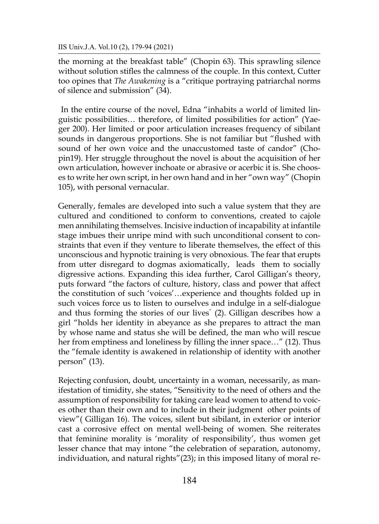the morning at the breakfast table" (Chopin 63). This sprawling silence without solution stifles the calmness of the couple. In this context, Cutter too opines that *The Awakening* is a "critique portraying patriarchal norms of silence and submission" (34).

In the entire course of the novel, Edna "inhabits a world of limited linguistic possibilities… therefore, of limited possibilities for action" (Yaeger 200). Her limited or poor articulation increases frequency of sibilant sounds in dangerous proportions. She is not familiar but "flushed with sound of her own voice and the unaccustomed taste of candor" (Chopin19). Her struggle throughout the novel is about the acquisition of her own articulation, however inchoate or abrasive or acerbic it is. She chooses to write her own script, in her own hand and in her "own way" (Chopin 105), with personal vernacular.

Generally, females are developed into such a value system that they are cultured and conditioned to conform to conventions, created to cajole men annihilating themselves. Incisive induction of incapability at infantile stage imbues their unripe mind with such unconditional consent to constraints that even if they venture to liberate themselves, the effect of this unconscious and hypnotic training is very obnoxious. The fear that erupts from utter disregard to dogmas axiomatically, leads them to socially digressive actions. Expanding this idea further, Carol Gilligan's theory, puts forward "the factors of culture, history, class and power that affect the constitution of such 'voices'…experience and thoughts folded up in such voices force us to listen to ourselves and indulge in a self-dialogue and thus forming the stories of our lives" (2). Gilligan describes how a girl "holds her identity in abeyance as she prepares to attract the man by whose name and status she will be defined, the man who will rescue her from emptiness and loneliness by filling the inner space…" (12). Thus the "female identity is awakened in relationship of identity with another person" (13).

Rejecting confusion, doubt, uncertainty in a woman, necessarily, as manifestation of timidity, she states, "Sensitivity to the need of others and the assumption of responsibility for taking care lead women to attend to voices other than their own and to include in their judgment other points of view"( Gilligan 16). The voices, silent but sibilant, in exterior or interior cast a corrosive effect on mental well-being of women. She reiterates that feminine morality is 'morality of responsibility', thus women get lesser chance that may intone "the celebration of separation, autonomy, individuation, and natural rights"(23); in this imposed litany of moral re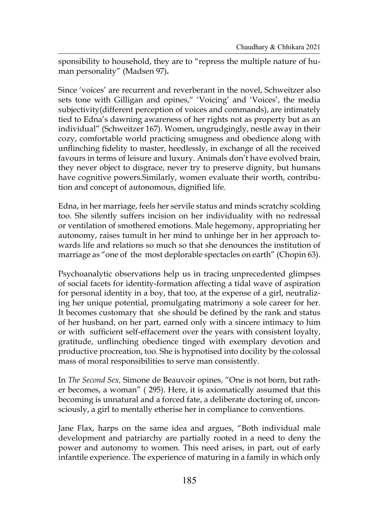sponsibility to household, they are to "repress the multiple nature of human personality" (Madsen 97)**.**

Since 'voices' are recurrent and reverberant in the novel, Schweitzer also sets tone with Gilligan and opines," 'Voicing' and 'Voices', the media subjectivity(different perception of voices and commands), are intimately tied to Edna's dawning awareness of her rights not as property but as an individual" (Schweitzer 167). Women, ungrudgingly, nestle away in their cozy, comfortable world practicing smugness and obedience along with unflinching fidelity to master, heedlessly, in exchange of all the received favours in terms of leisure and luxury. Animals don't have evolved brain, they never object to disgrace, never try to preserve dignity, but humans have cognitive powers.Similarly, women evaluate their worth, contribution and concept of autonomous, dignified life.

Edna, in her marriage, feels her servile status and minds scratchy scolding too. She silently suffers incision on her individuality with no redressal or ventilation of smothered emotions. Male hegemony, appropriating her autonomy, raises tumult in her mind to unhinge her in her approach towards life and relations so much so that she denounces the institution of marriage as "one of the most deplorable spectacles on earth" (Chopin 63).

Psychoanalytic observations help us in tracing unprecedented glimpses of social facets for identity-formation affecting a tidal wave of aspiration for personal identity in a boy, that too, at the expense of a girl, neutralizing her unique potential, promulgating matrimony a sole career for her. It becomes customary that she should be defined by the rank and status of her husband, on her part, earned only with a sincere intimacy to him or with sufficient self-effacement over the years with consistent loyalty, gratitude, unflinching obedience tinged with exemplary devotion and productive procreation, too. She is hypnotised into docility by the colossal mass of moral responsibilities to serve man consistently.

In *The Second Sex,* Simone de Beauvoir opines, "One is not born, but rather becomes, a woman" ( 295). Here, it is axiomatically assumed that this becoming is unnatural and a forced fate, a deliberate doctoring of, unconsciously, a girl to mentally etherise her in compliance to conventions.

Jane Flax, harps on the same idea and argues, "Both individual male development and patriarchy are partially rooted in a need to deny the power and autonomy to women. This need arises, in part, out of early infantile experience. The experience of maturing in a family in which only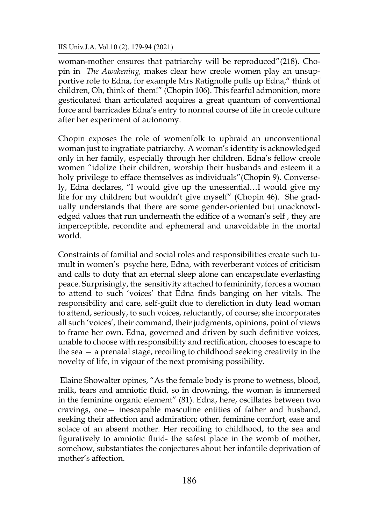woman-mother ensures that patriarchy will be reproduced"(218). Chopin in *The Awakening,* makes clear how creole women play an unsupportive role to Edna, for example Mrs Ratignolle pulls up Edna," think of children, Oh, think of them!" (Chopin 106). This fearful admonition, more gesticulated than articulated acquires a great quantum of conventional force and barricades Edna's entry to normal course of life in creole culture after her experiment of autonomy.

Chopin exposes the role of womenfolk to upbraid an unconventional woman just to ingratiate patriarchy. A woman's identity is acknowledged only in her family, especially through her children. Edna's fellow creole women "idolize their children, worship their husbands and esteem it a holy privilege to efface themselves as individuals"(Chopin 9). Conversely, Edna declares, "I would give up the unessential…I would give my life for my children; but wouldn't give myself" (Chopin 46). She gradually understands that there are some gender-oriented but unacknowledged values that run underneath the edifice of a woman's self , they are imperceptible, recondite and ephemeral and unavoidable in the mortal world.

Constraints of familial and social roles and responsibilities create such tumult in women's psyche here, Edna, with reverberant voices of criticism and calls to duty that an eternal sleep alone can encapsulate everlasting peace. Surprisingly, the sensitivity attached to femininity, forces a woman to attend to such 'voices' that Edna finds banging on her vitals. The responsibility and care, self-guilt due to dereliction in duty lead woman to attend, seriously, to such voices, reluctantly, of course; she incorporates all such 'voices', their command, their judgments, opinions, point of views to frame her own. Edna, governed and driven by such definitive voices, unable to choose with responsibility and rectification, chooses to escape to the sea — a prenatal stage, recoiling to childhood seeking creativity in the novelty of life, in vigour of the next promising possibility.

Elaine Showalter opines, "As the female body is prone to wetness, blood, milk, tears and amniotic fluid, so in drowning, the woman is immersed in the feminine organic element" (81). Edna, here, oscillates between two cravings, one— inescapable masculine entities of father and husband, seeking their affection and admiration; other, feminine comfort, ease and solace of an absent mother. Her recoiling to childhood, to the sea and figuratively to amniotic fluid- the safest place in the womb of mother, somehow, substantiates the conjectures about her infantile deprivation of mother's affection.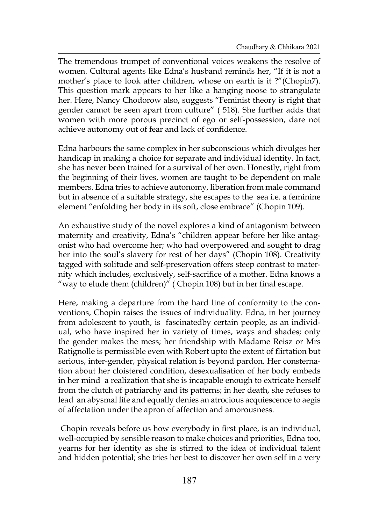The tremendous trumpet of conventional voices weakens the resolve of women. Cultural agents like Edna's husband reminds her, "If it is not a mother's place to look after children, whose on earth is it ?"(Chopin7). This question mark appears to her like a hanging noose to strangulate her. Here, Nancy Chodorow also**,** suggests "Feminist theory is right that gender cannot be seen apart from culture" ( 518). She further adds that women with more porous precinct of ego or self-possession, dare not achieve autonomy out of fear and lack of confidence.

Edna harbours the same complex in her subconscious which divulges her handicap in making a choice for separate and individual identity. In fact, she has never been trained for a survival of her own. Honestly, right from the beginning of their lives, women are taught to be dependent on male members. Edna tries to achieve autonomy, liberation from male command but in absence of a suitable strategy, she escapes to the sea i.e. a feminine element "enfolding her body in its soft, close embrace" (Chopin 109).

An exhaustive study of the novel explores a kind of antagonism between maternity and creativity, Edna's "children appear before her like antagonist who had overcome her; who had overpowered and sought to drag her into the soul's slavery for rest of her days" (Chopin 108). Creativity tagged with solitude and self-preservation offers steep contrast to maternity which includes, exclusively, self-sacrifice of a mother. Edna knows a "way to elude them (children)" ( Chopin 108) but in her final escape.

Here, making a departure from the hard line of conformity to the conventions, Chopin raises the issues of individuality. Edna, in her journey from adolescent to youth, is fascinatedby certain people, as an individual, who have inspired her in variety of times, ways and shades; only the gender makes the mess; her friendship with Madame Reisz or Mrs Ratignolle is permissible even with Robert upto the extent of flirtation but serious, inter-gender, physical relation is beyond pardon. Her consternation about her cloistered condition, desexualisation of her body embeds in her mind a realization that she is incapable enough to extricate herself from the clutch of patriarchy and its patterns; in her death, she refuses to lead an abysmal life and equally denies an atrocious acquiescence to aegis of affectation under the apron of affection and amorousness.

Chopin reveals before us how everybody in first place, is an individual, well-occupied by sensible reason to make choices and priorities, Edna too, yearns for her identity as she is stirred to the idea of individual talent and hidden potential; she tries her best to discover her own self in a very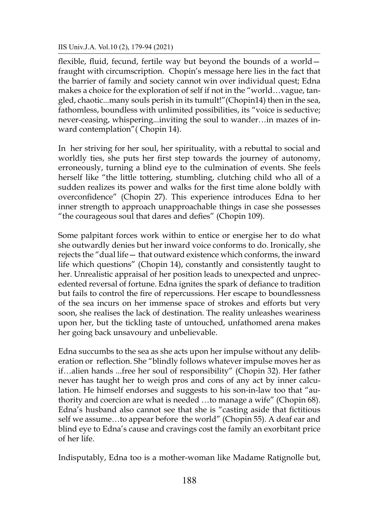flexible, fluid, fecund, fertile way but beyond the bounds of a world fraught with circumscription. Chopin's message here lies in the fact that the barrier of family and society cannot win over individual quest; Edna makes a choice for the exploration of self if not in the "world…vague, tangled, chaotic...many souls perish in its tumult!"(Chopin14) then in the sea, fathomless, boundless with unlimited possibilities, its "voice is seductive; never-ceasing, whispering...inviting the soul to wander…in mazes of inward contemplation"( Chopin 14).

In her striving for her soul, her spirituality, with a rebuttal to social and worldly ties, she puts her first step towards the journey of autonomy, erroneously, turning a blind eye to the culmination of events. She feels herself like "the little tottering, stumbling, clutching child who all of a sudden realizes its power and walks for the first time alone boldly with overconfidence" (Chopin 27). This experience introduces Edna to her inner strength to approach unapproachable things in case she possesses "the courageous soul that dares and defies" (Chopin 109).

Some palpitant forces work within to entice or energise her to do what she outwardly denies but her inward voice conforms to do. Ironically, she rejects the "dual life— that outward existence which conforms, the inward life which questions" (Chopin 14), constantly and consistently taught to her. Unrealistic appraisal of her position leads to unexpected and unprecedented reversal of fortune. Edna ignites the spark of defiance to tradition but fails to control the fire of repercussions. Her escape to boundlessness of the sea incurs on her immense space of strokes and efforts but very soon, she realises the lack of destination. The reality unleashes weariness upon her, but the tickling taste of untouched, unfathomed arena makes her going back unsavoury and unbelievable.

Edna succumbs to the sea as she acts upon her impulse without any deliberation or reflection. She "blindly follows whatever impulse moves her as if…alien hands ...free her soul of responsibility" (Chopin 32). Her father never has taught her to weigh pros and cons of any act by inner calculation. He himself endorses and suggests to his son-in-law too that "authority and coercion are what is needed …to manage a wife" (Chopin 68). Edna's husband also cannot see that she is "casting aside that fictitious self we assume…to appear before the world" (Chopin 55). A deaf ear and blind eye to Edna's cause and cravings cost the family an exorbitant price of her life.

Indisputably, Edna too is a mother-woman like Madame Ratignolle but,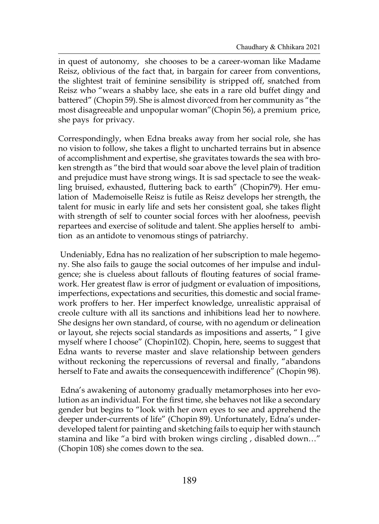in quest of autonomy, she chooses to be a career-woman like Madame Reisz, oblivious of the fact that, in bargain for career from conventions, the slightest trait of feminine sensibility is stripped off, snatched from Reisz who "wears a shabby lace, she eats in a rare old buffet dingy and battered" (Chopin 59). She is almost divorced from her community as "the most disagreeable and unpopular woman"(Chopin 56), a premium price, she pays for privacy.

Correspondingly, when Edna breaks away from her social role, she has no vision to follow, she takes a flight to uncharted terrains but in absence of accomplishment and expertise, she gravitates towards the sea with broken strength as "the bird that would soar above the level plain of tradition and prejudice must have strong wings. It is sad spectacle to see the weakling bruised, exhausted, fluttering back to earth" (Chopin79). Her emulation of Mademoiselle Reisz is futile as Reisz develops her strength, the talent for music in early life and sets her consistent goal, she takes flight with strength of self to counter social forces with her aloofness, peevish repartees and exercise of solitude and talent. She applies herself to ambition as an antidote to venomous stings of patriarchy.

Undeniably, Edna has no realization of her subscription to male hegemony. She also fails to gauge the social outcomes of her impulse and indulgence; she is clueless about fallouts of flouting features of social framework. Her greatest flaw is error of judgment or evaluation of impositions, imperfections, expectations and securities, this domestic and social framework proffers to her. Her imperfect knowledge, unrealistic appraisal of creole culture with all its sanctions and inhibitions lead her to nowhere. She designs her own standard, of course, with no agendum or delineation or layout, she rejects social standards as impositions and asserts, " I give myself where I choose" (Chopin102). Chopin, here, seems to suggest that Edna wants to reverse master and slave relationship between genders without reckoning the repercussions of reversal and finally, "abandons herself to Fate and awaits the consequencewith indifference" (Chopin 98).

Edna's awakening of autonomy gradually metamorphoses into her evolution as an individual. For the first time, she behaves not like a secondary gender but begins to "look with her own eyes to see and apprehend the deeper under-currents of life" (Chopin 89). Unfortunately, Edna's underdeveloped talent for painting and sketching fails to equip her with staunch stamina and like "a bird with broken wings circling , disabled down…" (Chopin 108) she comes down to the sea.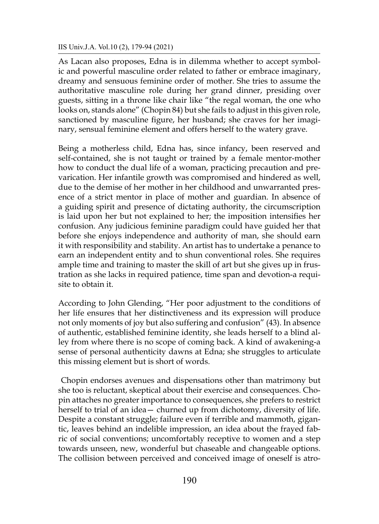As Lacan also proposes, Edna is in dilemma whether to accept symbolic and powerful masculine order related to father or embrace imaginary, dreamy and sensuous feminine order of mother. She tries to assume the authoritative masculine role during her grand dinner, presiding over guests, sitting in a throne like chair like "the regal woman, the one who looks on, stands alone" (Chopin 84) but she fails to adjust in this given role, sanctioned by masculine figure, her husband; she craves for her imaginary, sensual feminine element and offers herself to the watery grave.

Being a motherless child, Edna has, since infancy, been reserved and self-contained, she is not taught or trained by a female mentor-mother how to conduct the dual life of a woman, practicing precaution and prevarication. Her infantile growth was compromised and hindered as well, due to the demise of her mother in her childhood and unwarranted presence of a strict mentor in place of mother and guardian. In absence of a guiding spirit and presence of dictating authority, the circumscription is laid upon her but not explained to her; the imposition intensifies her confusion. Any judicious feminine paradigm could have guided her that before she enjoys independence and authority of man, she should earn it with responsibility and stability. An artist has to undertake a penance to earn an independent entity and to shun conventional roles. She requires ample time and training to master the skill of art but she gives up in frustration as she lacks in required patience, time span and devotion-a requisite to obtain it.

According to John Glending, "Her poor adjustment to the conditions of her life ensures that her distinctiveness and its expression will produce not only moments of joy but also suffering and confusion" (43). In absence of authentic, established feminine identity, she leads herself to a blind alley from where there is no scope of coming back. A kind of awakening-a sense of personal authenticity dawns at Edna; she struggles to articulate this missing element but is short of words.

Chopin endorses avenues and dispensations other than matrimony but she too is reluctant, skeptical about their exercise and consequences. Chopin attaches no greater importance to consequences, she prefers to restrict herself to trial of an idea— churned up from dichotomy, diversity of life. Despite a constant struggle; failure even if terrible and mammoth, gigantic, leaves behind an indelible impression, an idea about the frayed fabric of social conventions; uncomfortably receptive to women and a step towards unseen, new, wonderful but chaseable and changeable options. The collision between perceived and conceived image of oneself is atro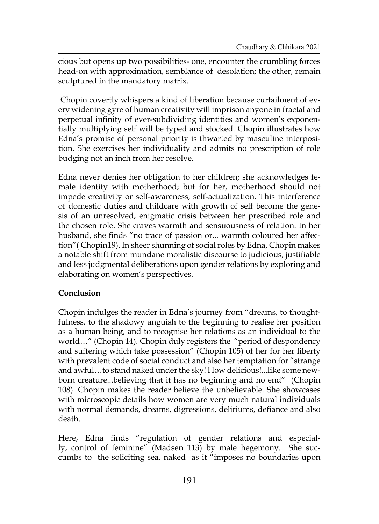cious but opens up two possibilities- one, encounter the crumbling forces head-on with approximation, semblance of desolation; the other, remain sculptured in the mandatory matrix.

Chopin covertly whispers a kind of liberation because curtailment of every widening gyre of human creativity will imprison anyone in fractal and perpetual infinity of ever-subdividing identities and women's exponentially multiplying self will be typed and stocked. Chopin illustrates how Edna's promise of personal priority is thwarted by masculine interposition. She exercises her individuality and admits no prescription of role budging not an inch from her resolve.

Edna never denies her obligation to her children; she acknowledges female identity with motherhood; but for her, motherhood should not impede creativity or self-awareness, self-actualization. This interference of domestic duties and childcare with growth of self become the genesis of an unresolved, enigmatic crisis between her prescribed role and the chosen role. She craves warmth and sensuousness of relation. In her husband, she finds "no trace of passion or... warmth coloured her affection"( Chopin19). In sheer shunning of social roles by Edna, Chopin makes a notable shift from mundane moralistic discourse to judicious, justifiable and less judgmental deliberations upon gender relations by exploring and elaborating on women's perspectives.

# **Conclusion**

Chopin indulges the reader in Edna's journey from "dreams, to thoughtfulness, to the shadowy anguish to the beginning to realise her position as a human being, and to recognise her relations as an individual to the world…" (Chopin 14). Chopin duly registers the "period of despondency and suffering which take possession" (Chopin 105) of her for her liberty with prevalent code of social conduct and also her temptation for "strange and awful…to stand naked under the sky! How delicious!...like some newborn creature...believing that it has no beginning and no end" (Chopin 108). Chopin makes the reader believe the unbelievable. She showcases with microscopic details how women are very much natural individuals with normal demands, dreams, digressions, deliriums, defiance and also death.

Here, Edna finds "regulation of gender relations and especially, control of feminine" (Madsen 113) by male hegemony. She succumbs to the soliciting sea, naked as it "imposes no boundaries upon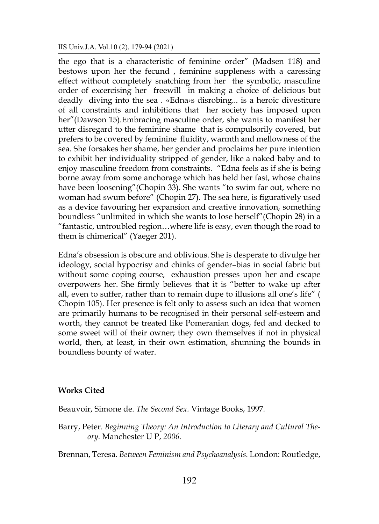the ego that is a characteristic of feminine order" (Madsen 118) and bestows upon her the fecund , feminine suppleness with a caressing effect without completely snatching from her the symbolic, masculine order of excercising her freewill in making a choice of delicious but deadly diving into the sea . «Edna›s disrobing... is a heroic divestiture of all constraints and inhibitions that her society has imposed upon her"(Dawson 15).Embracing masculine order, she wants to manifest her utter disregard to the feminine shame that is compulsorily covered, but prefers to be covered by feminine fluidity, warmth and mellowness of the sea. She forsakes her shame, her gender and proclaims her pure intention to exhibit her individuality stripped of gender, like a naked baby and to enjoy masculine freedom from constraints. "Edna feels as if she is being borne away from some anchorage which has held her fast, whose chains have been loosening"(Chopin 33). She wants "to swim far out, where no woman had swum before" (Chopin 27). The sea here, is figuratively used as a device favouring her expansion and creative innovation, something boundless "unlimited in which she wants to lose herself"(Chopin 28) in a "fantastic, untroubled region…where life is easy, even though the road to them is chimerical" (Yaeger 201).

Edna's obsession is obscure and oblivious. She is desperate to divulge her ideology, social hypocrisy and chinks of gender–bias in social fabric but without some coping course, exhaustion presses upon her and escape overpowers her. She firmly believes that it is "better to wake up after all, even to suffer, rather than to remain dupe to illusions all one's life" ( Chopin 105). Her presence is felt only to assess such an idea that women are primarily humans to be recognised in their personal self-esteem and worth, they cannot be treated like Pomeranian dogs, fed and decked to some sweet will of their owner; they own themselves if not in physical world, then, at least, in their own estimation, shunning the bounds in boundless bounty of water.

#### **Works Cited**

Beauvoir, Simone de. *The Second Sex.* Vintage Books, 1997*.*

Barry, Peter. *Beginning Theory: An Introduction to Literary and Cultural Theory.* Manchester U P, *2006.* 

Brennan, Teresa. *Between Feminism and Psychoanalysis.* London: Routledge,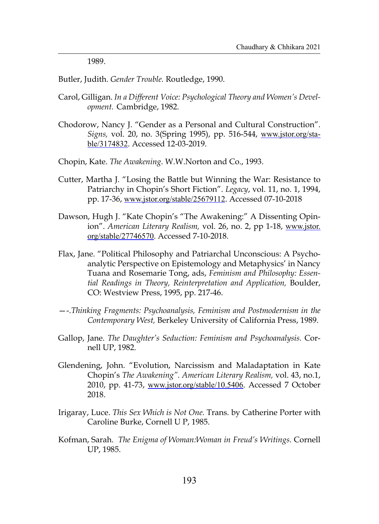1989.

Butler, Judith. *Gender Trouble.* Routledge, 1990.

- Carol, Gilligan. *In a Different Voice: Psychological Theory and Women's Development.* Cambridge, 1982.
- Chodorow, Nancy J. "Gender as a Personal and Cultural Construction". *Signs,* vol. 20, no. 3(Spring 1995), pp. 516-544, www.jstor.org/stable/3174832. Accessed 12-03-2019.

Chopin, Kate. *The Awakening*. W.W.Norton and Co., 1993.

- Cutter, Martha J. "Losing the Battle but Winning the War: Resistance to Patriarchy in Chopin's Short Fiction". *Legacy*, vol. 11, no. 1, 1994, pp. 17-36, www.jstor.org/stable/25679112. Accessed 07-10-2018
- Dawson, Hugh J. "Kate Chopin's "The Awakening:" A Dissenting Opinion". *American Literary Realism,* vol. 26, no. 2, pp 1-18, www.jstor. org/stable/27746570. Accessed 7-10-2018.
- Flax, Jane. "Political Philosophy and Patriarchal Unconscious: A Psychoanalytic Perspective on Epistemology and Metaphysics' in Nancy Tuana and Rosemarie Tong, ads, *Feminism and Philosophy: Essential Readings in Theory, Reinterpretation and Application,* Boulder, CO: Westview Press, 1995, pp. 217-46.
- —-.*Thinking Fragments: Psychoanalysis, Feminism and Postmodernism in the Contemporary West,* Berkeley University of California Press, 1989.
- Gallop, Jane. *The Daughter's Seduction: Feminism and Psychoanalysis.* Cornell UP, 1982.
- Glendening, John. "Evolution, Narcissism and Maladaptation in Kate Chopin's *The Awakening". American Literary Realism,* vol. 43, no.1, 2010, pp. 41-73, www.jstor.org/stable/10.5406. Accessed 7 October 2018.
- Irigaray, Luce. *This Sex Which is Not One.* Trans. by Catherine Porter with Caroline Burke, Cornell U P, 1985.
- Kofman, Sarah. *The Enigma of Woman:Woman in Freud's Writings.* Cornell UP, 1985.